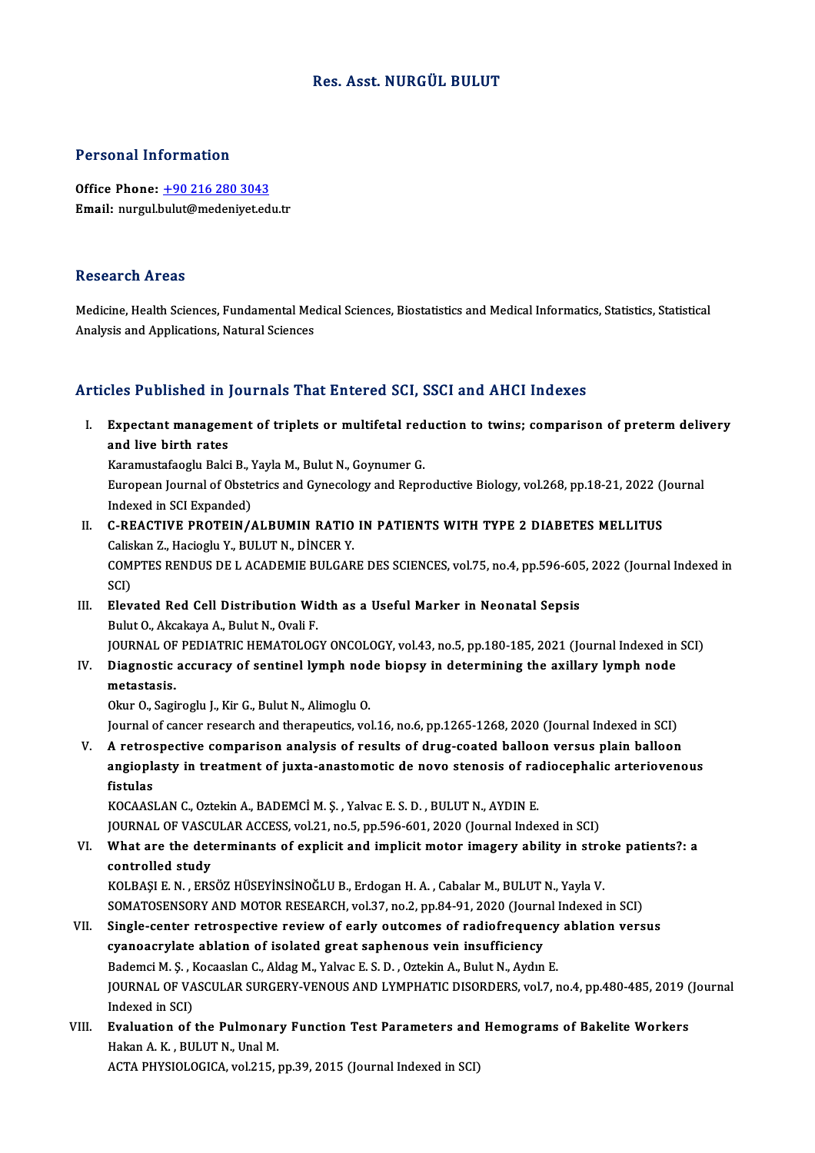## Res. Asst.NURGÜL BULUT

## Personal Information

Office Phone: +90 216 280 3043 Email: nurgul.[bulut@medeniyet.ed](tel:+90 216 280 3043)u.tr

### **Research Areas**

Medicine, Health Sciences, Fundamental Medical Sciences, Biostatistics and Medical Informatics, Statistics, Statistical Analysis and Applications, Natural Sciences

# Articles Published in Journals That Entered SCI, SSCI and AHCI Indexes

rticles Published in Journals That Entered SCI, SSCI and AHCI Indexes<br>I. Expectant management of triplets or multifetal reduction to twins; comparison of preterm delivery<br>and live hirth rates Expectant managem<br>and live birth rates<br>Experiences balge Expectant management of triplets or multifetal red<br>and live birth rates<br>Karamustafaoglu Balci B., Yayla M., Bulut N., Goynumer G.<br>European Journal of Obstatries and Cuneselery and Bonn

and live birth rates<br>Karamustafaoglu Balci B., Yayla M., Bulut N., Goynumer G.<br>European Journal of Obstetrics and Gynecology and Reproductive Biology, vol.268, pp.18-21, 2022 (Journal<br>Indeved in SCL Euronded) Karamustafaoglu Balci B., **I**<br>European Journal of Obste<br>Indexed in SCI Expanded)<br>C. REACTIVE PROTEIN ( European Journal of Obstetrics and Gynecology and Reproductive Biology, vol.268, pp.18-21, 2022 ()<br>Indexed in SCI Expanded)<br>II. C-REACTIVE PROTEIN/ALBUMIN RATIO IN PATIENTS WITH TYPE 2 DIABETES MELLITUS<br>Coliginal Hasiagh:

- Indexed in SCI Expanded)<br>C-REACTIVE PROTEIN/ALBUMIN RATIO<br>Caliskan Z., Hacioglu Y., BULUT N., DİNCER Y.<br>COMPTES PENDUS DE LACADEMIE BULCAR COMPTES RENDUS DE L ACADEMIE BULGARE DES SCIENCES, vol.75, no.4, pp.596-605, 2022 (Journal Indexed in SCI) Caliskan Z., Hacioglu Y., BULUT N., DİNCER Y. COMPTES RENDUS DE L ACADEMIE BULGARE DES SCIENCES, vol.75, no.4, pp.596-605<br>SCI)<br>III. Elevated Red Cell Distribution Width as a Useful Marker in Neonatal Sepsis<br>Pulut O. Aksakaya A. Pulut N. Ovali E
- SCI)<br><mark>Elevated Red Cell Distribution Wi</mark><br>Bulut O., Akcakaya A., Bulut N., Ovali F.<br>JOUPMAL OE PEDIATPLC HEMATOLOC Bulut O., Akcakaya A., Bulut N., Ovali F.<br>JOURNAL OF PEDIATRIC HEMATOLOGY ONCOLOGY, vol.43, no.5, pp.180-185, 2021 (Journal Indexed in SCI) Bulut O., Akcakaya A., Bulut N., Ovali F.<br>JOURNAL OF PEDIATRIC HEMATOLOGY ONCOLOGY, vol.43, no.5, pp.180-185, 2021 (Journal Indexed in<br>IV. Diagnostic accuracy of sentinel lymph node biopsy in determining the axillary l
- **JOURNAL OF**<br>Diagnostic<br>metastasis.<br>Olar O. Sogi Diagnostic accuracy of sentinel lymph nod<br>metastasis.<br>Okur O., Sagiroglu J., Kir G., Bulut N., Alimoglu O.<br>Journal of cancer researsh and therapoutise vo

metastasis.<br>Okur O., Sagiroglu J., Kir G., Bulut N., Alimoglu O.<br>Journal of cancer research and therapeutics, vol.16, no.6, pp.1265-1268, 2020 (Journal Indexed in SCI)

Okur O., Sagiroglu J., Kir G., Bulut N., Alimoglu O.<br>Journal of cancer research and therapeutics, vol.16, no.6, pp.1265-1268, 2020 (Journal Indexed in SCI)<br>V. A retrospective comparison analysis of results of drug-coated b Journal of cancer research and therapeutics, vol.16, no.6, pp.1265-1268, 2020 (Journal Indexed in SCI)<br>A retrospective comparison analysis of results of drug-coated balloon versus plain balloon<br>angioplasty in treatment of A retros<br>angiopla<br>fistulas<br>*VOC*AASI angioplasty in treatment of juxta-anastomotic de novo stenosis of ra<mark>fistulas</mark><br>fistulas<br>KOCAASLAN C., Oztekin A., BADEMCİ M. Ş. , Yalvac E. S. D. , BULUT N., AYDIN E.<br>JOUPNAL OF VASCULAR ACCESS, val 31, no 5, nn 596,691,39

fistulas<br>KOCAASLAN C., Oztekin A., BADEMCİ M. Ş. , Yalvac E. S. D. , BULUT N., AYDIN E.<br>JOURNAL OF VASCULAR ACCESS, vol.21, no.5, pp.596-601, 2020 (Journal Indexed in SCI)

# KOCAASLAN C., Oztekin A., BADEMCİ M. Ş. , Yalvac E. S. D. , BULUT N., AYDIN E.<br>JOURNAL OF VASCULAR ACCESS, vol.21, no.5, pp.596-601, 2020 (Journal Indexed in SCI)<br>VI. What are the determinants of explicit and implicit moto **JOURNAL OF VASCU<br>What are the det<br>controlled study<br>KOUBASLE NUERS** What are the determinants of explicit and implicit motor imagery ability in stro<br>controlled study<br>KOLBAŞI E. N. , ERSÖZ HÜSEYİNSİNOĞLU B., Erdogan H. A. , Cabalar M., BULUT N., Yayla V.<br>SOMATOSENSORY AND MOTOR RESEARCH .vo

controlled study<br>KOLBAŞI E. N. , ERSÖZ HÜSEYİNSİNOĞLU B., Erdogan H. A. , Cabalar M., BULUT N., Yayla V.<br>SOMATOSENSORY AND MOTOR RESEARCH, vol.37, no.2, pp.84-91, 2020 (Journal Indexed in SCI)<br>Single, conter retrospective KOLBAŞI E. N. , ERSÖZ HÜSEYİNSİNOĞLU B., Erdogan H. A. , Cabalar M., BULUT N., Yayla V.<br>SOMATOSENSORY AND MOTOR RESEARCH, vol.37, no.2, pp.84-91, 2020 (Journal Indexed in SCI)<br>VII. Single-center retrospective review of ear

# SOMATOSENSORY AND MOTOR RESEARCH, vol.37, no.2, pp.84-91, 2020 (Journal Indexed in SCI)<br>Single-center retrospective review of early outcomes of radiofrequency ablation versus cyanoacrylate ablation of isolated great saphenous vein insufficiency cyanoacrylate ablation of isolated great saphenous vein insufficiency<br>Bademci M. Ş. , Kocaaslan C., Aldag M., Yalvac E. S. D. , Oztekin A., Bulut N., Aydın E.<br>JOURNAL OF VASCULAR SURGERY-VENOUS AND LYMPHATIC DISORDERS, vol Bademci M. Ş. , Kocaaslan C., Aldag M., Yalvac E. S. D. , Oztekin A., Bulut N., Aydın E.<br>JOURNAL OF VASCULAR SURGERY-VENOUS AND LYMPHATIC DISORDERS, vol.7, r<br>Indexed in SCI) JOURNAL OF VASCULAR SURGERY-VENOUS AND LYMPHATIC DISORDERS, vol.7, no.4, pp.480-485, 2019 (<br>Indexed in SCI)<br>VIII. Evaluation of the Pulmonary Function Test Parameters and Hemograms of Bakelite Workers<br>Hakan A K, BULUT N, U

Indexed in SCI)<br>**Evaluation of the Pulmonar**<br>Hakan A. K. , BULUT N., Unal M.<br>ACTA PHYSIOLOCICA vel 315 . <mark>Evaluation of the Pulmonary Function Test Parameters and</mark><br>Hakan A. K. , BULUT N., Unal M.<br>ACTA PHYSIOLOGICA, vol.215, pp.39, 2015 (Journal Indexed in SCI)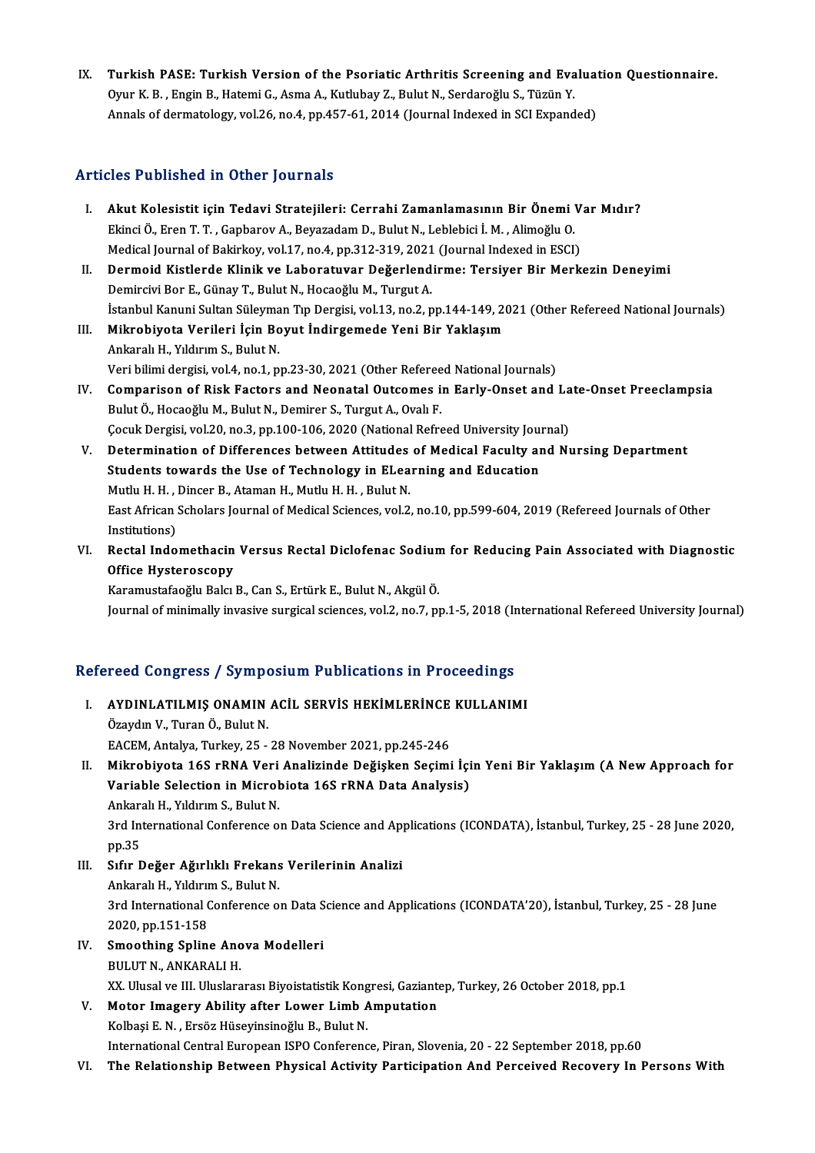IX. Turkish PASE: Turkish Version of the Psoriatic Arthritis Screening and Evaluation Questionnaire. Turkish PASE: Turkish Version of the Psoriatic Arthritis Screening and Eva<br>Oyur K. B., Engin B., Hatemi G., Asma A., Kutlubay Z., Bulut N., Serdaroğlu S., Tüzün Y.<br>Annak of dermatalogu val 26. no.4. np.457.61.2014 (Journal Turkish PASE: Turkish Version of the Psoriatic Arthritis Screening and Evalua<br>Oyur K. B. , Engin B., Hatemi G., Asma A., Kutlubay Z., Bulut N., Serdaroğlu S., Tüzün Y.<br>Annals of dermatology, vol.26, no.4, pp.457-61, 2014 ( Annals of dermatology, vol.26, no.4, pp.457-61, 2014 (Journal Indexed in SCI Expanded)<br>Articles Published in Other Journals

- rticles Published in Other Journals<br>I. Akut Kolesistit için Tedavi Stratejileri: Cerrahi Zamanlamasının Bir Önemi Var Mıdır?<br>Filipsi Ö. Eren T. T. Capbarev A. Bayazadam D. Bulut N. Lablabisi I.M. Alimeğlu O. 2007 absistiva III Ochor Joarnais<br>Akut Kolesistit için Tedavi Stratejileri: Cerrahi Zamanlamasının Bir Önemi '<br>Ekinci Ö., Eren T.T., Gapbarov A., Beyazadam D., Bulut N., Leblebici İ. M. , Alimoğlu O.<br>Medisəl Journal of Pol Akut Kolesistit için Tedavi Stratejileri: Cerrahi Zamanlamasının Bir Önemi V<br>Ekinci Ö., Eren T. T. , Gapbarov A., Beyazadam D., Bulut N., Leblebici İ. M. , Alimoğlu O.<br>Medical Journal of Bakirkoy, vol.17, no.4, pp.312-319, Ekinci Ö., Eren T. T. , Gapbarov A., Beyazadam D., Bulut N., Leblebici İ. M. , Alimoğlu O.<br>Medical Journal of Bakirkoy, vol.17, no.4, pp.312-319, 2021 (Journal Indexed in ESCI)<br>II. Dermoid Kistlerde Klinik ve Laboratuvar D
- Medical Journal of Bakirkoy, vol.17, no.4, pp.312-319, 2021<br>Dermoid Kistlerde Klinik ve Laboratuvar Değerlend<br>Demircivi Bor E., Günay T., Bulut N., Hocaoğlu M., Turgut A.<br>İstanbul Kanuni Sultan Süleyman Tın Dengisi vol.13, Dermoid Kistlerde Klinik ve Laboratuvar Değerlendirme: Tersiyer Bir Merkezin Deneyimi<br>Demircivi Bor E., Günay T., Bulut N., Hocaoğlu M., Turgut A.<br>İstanbul Kanuni Sultan Süleyman Tıp Dergisi, vol.13, no.2, pp.144-149, 2021 Demircivi Bor E., Günay T., Bulut N., Hocaoğlu M., Turgut A.<br>İstanbul Kanuni Sultan Süleyman Tıp Dergisi, vol.13, no.2, pp.144-149, 20<br>III. Mikrobiyota Verileri İçin Boyut İndirgemede Yeni Bir Yaklaşım<br>Arkaralı H. Yıldırım
- İstanbul Kanuni Sultan Süleyma<br>Mikrobiyota Verileri İçin Bo<br>Ankaralı H., Yıldırım S., Bulut N.<br>Veri bilimi dergisi val 4. no 1. n Mikrobiyota Verileri İçin Boyut İndirgemede Yeni Bir Yaklaşım<br>Ankaralı H., Yıldırım S., Bulut N.<br>Veri bilimi dergisi, vol.4, no.1, pp.23-30, 2021 (Other Refereed National Journals)
- Ankaralı H., Yıldırım S., Bulut N.<br>Veri bilimi dergisi, vol.4, no.1, pp.23-30, 2021 (Other Refereed National Journals)<br>IV. Comparison of Risk Factors and Neonatal Outcomes in Early-Onset and Late-Onset Preeclampsia<br>Pulut Ö Bulut Ö., Hocaoğlu M., Bulut N., Demirer S., Turgut A., Ovalı F.<br>Cocuk Dergisi, vol.20, no.3, pp.100-106, 2020 (National Refreed University Journal) Comparison of Risk Factors and Neonatal Outcomes in Early-Onset and La<br>Bulut Ö., Hocaoğlu M., Bulut N., Demirer S., Turgut A., Ovalı F.<br>Çocuk Dergisi, vol.20, no.3, pp.100-106, 2020 (National Refreed University Journal)<br>De
- V. Determination of Differences between Attitudes of Medical Faculty and Nursing Department Cocuk Dergisi, vol.20, no.3, pp.100-106, 2020 (National Refreed University Journal Determination of Differences between Attitudes of Medical Faculty and Students towards the Use of Technology in ELearning and Education<br>Mut Determination of Differences between Attitudes<br>Students towards the Use of Technology in ELea<br>Mutlu H. H. , Dincer B., Ataman H., Mutlu H. H. , Bulut N.<br>Fost African Scholars Journal of Modical Sciences, vol 2 Students towards the Use of Technology in ELearning and Education<br>Mutlu H. H. , Dincer B., Ataman H., Mutlu H. H. , Bulut N.<br>East African Scholars Journal of Medical Sciences, vol.2, no.10, pp.599-604, 2019 (Refereed Journ Mutlu H. H. , J<br>East African :<br>Institutions)<br>Beatel Inde East African Scholars Journal of Medical Sciences, vol.2, no.10, pp.599-604, 2019 (Refereed Journals of Other<br>Institutions)<br>VI. Rectal Indomethacin Versus Rectal Diclofenac Sodium for Reducing Pain Associated with Diagnost
- Institutions)<br>Rectal Indomethacin<br>Office Hysteroscopy<br>Karamustafooğlu Balgı Office Hysteroscopy<br>Karamustafaoğlu Balcı B., Can S., Ertürk E., Bulut N., Akgül Ö.

Journal of minimally invasive surgical sciences, vol.2, no.7, pp.1-5, 2018 (International Refereed University Journal)

# 100 yournal of minimally invasive surgical sciences, vol.2, no.7, pp.1-5, 2018<br>Refereed Congress / Symposium Publications in Proceedings

efereed Congress / Symposium Publications in Proceedings<br>I. AYDINLATILMIŞ ONAMIN ACİL SERVİS HEKİMLERİNCE KULLANIMI AYDINLATILMIŞ ONAMIN<br>Özaydın V., Turan Ö., Bulut N.<br>FACEM Antalya Turkay 25 AYDINLATILMIŞ ONAMIN ACİL SERVİS HEKİMLERİNCE<br>Özaydın V., Turan Ö., Bulut N.<br>EACEM, Antalya, Turkey, 25 - 28 November 2021, pp.245-246<br>Mikrobiyata 168 rPNA Veri Analizinde Değirkan Sosimi Özaydın V., Turan Ö., Bulut N.<br>EACEM, Antalya, Turkey, 25 - 28 November 2021, pp.245-246<br>II. Mikrobiyota 16S rRNA Veri Analizinde Değişken Seçimi İçin Yeni Bir Yaklaşım (A New Approach for<br>Variable Selestian in Misrobista EACEM, Antalya, Turkey, 25 - 28 November 2021, pp.245-246<br>Mikrobiyota 16S rRNA Veri Analizinde Değişken Seçimi İçi<br>Variable Selection in Microbiota 16S rRNA Data Analysis)<br>Ankaralı H. Vildirum S. Bulut N Mikrobiyota 16S rRNA Veri<br>Variable Selection in Microl<br>Ankaralı H., Yıldırım S., Bulut N.<br><sup>2rd</sup> International Conference O Variable Selection in Microbiota 16S rRNA Data Analysis)<br>Ankaralı H., Yıldırım S., Bulut N.<br>3rd International Conference on Data Science and Applications (ICONDATA), İstanbul, Turkey, 25 - 28 June 2020,<br>pp.35 Ankaralı H., Yıldırım S., Bulut N. 3rd International Conference on Data Science and App<br>pp.35<br>III. Sıfır Değer Ağırlıklı Frekans Verilerinin Analizi pp.35<br>Sıfır Değer Ağırlıklı Frekans<br>Ankaralı H., Yıldırım S., Bulut N.<br><sup>2nd Intornational Conference O</sup> Sıfır Değer Ağırlıklı Frekans Verilerinin Analizi<br>Ankaralı H., Yıldırım S., Bulut N.<br>3rd International Conference on Data Science and Applications (ICONDATA'20), İstanbul, Turkey, 25 - 28 June<br>2020 pp.151 159 Ankaralı H., Yıldırın<br>3rd International (<br>2020, pp.151-158<br>Smoothing Snlin 2020, pp.151-158<br>IV. Smoothing Spline Anova Modelleri BULUT N., ANKARALI H. Smoothing Spline Anova Modelleri<br>BULUT N., ANKARALI H.<br>XX. Ulusal ve III. Uluslararası Biyoistatistik Kongresi, Gaziantep, Turkey, 26 October 2018, pp.1<br>Motor Imagany Ability after Lawer Limb Amputation V. Motor Imagery Ability after Lower Limb Amputation XX. Ulusal ve III. Uluslararası Biyoistatistik Kong<br>Motor Imagery Ability after Lower Limb A<br>Kolbaşi E. N. , Ersöz Hüseyinsinoğlu B., Bulut N.<br>International Central European ISBO Cenferenc

International Central European ISPO Conference, Piran, Slovenia, 20 - 22 September 2018, pp.60

VI. The Relationship Between Physical Activity Participation And Perceived Recovery In PersonsWith